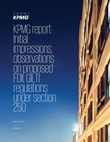

KPMG report: Initial impressions, piservations oppor vaciono FDII, GILTI regulations under section 250

March 8, 2019

kpmg.com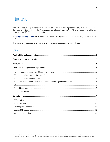# Introduction

The U.S. Treasury Department and IRS on March 4, 2019, released proposed regulations (REG-104464- 18) relating to the deduction for "foreign-derived intangible income" (FDII) and "global intangible lowtaxed income" (GILTI) under section 250.

The **[proposed regulations](https://www.govinfo.gov/content/pkg/FR-2019-03-06/pdf/2019-03848.pdf)** [PDF 446 KB] (47 pages) were published in the Federal Register on March 6, 2019.

This report provides initial impressions and observations about these proposed rules.

## Contents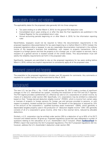## <span id="page-2-0"></span>Applicability dates and reliance

The applicability dates for the proposed rules generally fall into three categories:

- Tax years ending on or after March 4, 2019, for the general FDII deduction rules
- Consolidated return years ending on or after the date the final regulations are published in the Federal Register for the consolidated return rules
- Annual accounting periods beginning on or after March 4, 2019, for the information reporting rules

Nevertheless, taxpayers would not be required to follow the documentation requirements in the proposed regulations (discussed below) for tax years beginning on or before March 4, 2019. Instead, the proposed regulations allow a taxpayer to use any reasonable documentation maintained in the ordinary course of the taxpayer's business that establishes, with respect to property transactions, that a recipient is a foreign person and that the property is for a foreign use, or with respect to services, that a recipient of a general service is located outside of the United States. This documentation must still satisfy the reliability requirements set forth in the proposed rules.

Significantly, taxpayers are permitted to rely on the proposed regulations for tax years ending before March 4, 2019, without any explicit requirement to consistently apply all of the proposed rules.

# <span id="page-2-1"></span>ment period and hearing

The preamble to the proposed regulations includes over 20 requests for comments. Any comments or requests for a public hearing must be submitted by May 6, 2019.

## <span id="page-2-2"></span>Background

The new U.S. tax law (Pub. L. No. 115-97, enacted December 22, 2017) made a number of significant changes to the U.S. international tax system, including the enactment of the FDII and GILTI regimes. The FDII regime provides a preferential U.S. effective tax rate to U.S. corporations on certain income, by means of a deduction under section 250. Specifically, U.S. corporations may be entitled to a deduction based on their "foreign-derived deduction eligible income" (FDDEI), which is income from certain sales or licenses of property to foreign persons for foreign use and services provided to persons, or with respect to property, located outside the United States. The benefit of the deduction is reduced by 10% of the amount of the corporation's "qualified business asset investment" (QBAI), which generally is depreciable tangible property used in the production of "deduction eligible income" (DEI). DEI generally consists of all of a corporation's gross income, other than a few exempt items, reduced by allocable deductions.

Similarly, a U.S. corporation may be entitled under section 250 to a deduction of up to 50% of its GILTI inclusion and related section 78 gross-up. Proposed regulations issued last year addressed a number of questions relating to the calculation of a U.S. shareholder's GILTI inclusion. [Read **[TaxNewsFlash](https://home.kpmg/us/en/home/insights/2018/10/tnf-kpmg-report-initial-impressions-of-proposed-gilti-regulations.html)** for KPMG's report that examines the GILTI proposed regulations.] The GILTI proposed regulations did not, however, address the U.S. shareholder's deduction under section 250.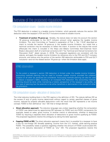# <span id="page-3-0"></span>Overview of the proposed regulations

#### <span id="page-3-1"></span>FDII computation issues – taxable income limitation

The FDII deduction is subject to a taxable income limitation, which generally reduces the section 250 deduction when the taxpayer's FDII and GILTI inclusions exceed its taxable income.

**Treatment of section 78 gross-up:** Notably, the statute does not take into account the section 78 gross-up attributable to the GILTI inclusion amount when applying the taxable income limitation. The Joint Committee on Taxation's explanation of Pub. L. No. 115-97 described an intent to include the section 78 gross-up in the taxable income limitation, but noted that a technical correction may be necessary to reflect the intent. A revision to the statute that would effectuate this intent is included in the Ways and Means Committee then-Chairman Kevin Brady's discussion draft of a technical corrections bill ("Tax Technical and Clerical Corrections Act Discussion Draft" dated January 2, 2019). The proposed regulations are consistent with the statute, and apply the taxable income limitation by reference only to the FDII and GILTI inclusion amounts, and reduce only the portion of the section 250 deduction attributable to FDII and GILTI inclusions—and not the related section 78 gross-up—when the limitation does apply.

#### KPMG observation

To the extent a taxpayer's section 250 deduction is limited under the taxable income limitation, accounting methods planning may be used to increase taxable income, provided the collateral impacts on all other tax attributes are considered. Accounting methods planning can also be used to reduce a taxpayer's QBAI, resulting in an increased FDII deduction. Any accounting methods planning should be done while maintaining a holistic perspective of the taxpayer's tax profile, as this type of planning has the potential to be either beneficial or detrimental in the context of other tax provisions.

#### <span id="page-3-2"></span>FDII computation issues—allocation of deductions

The initial statutory building block in the FDII regime is the definition of DEI. The statute defines DEI as the excess (if any) of gross income determined without regard to certain specified classes of gross income, reduced by properly allocable deductions—with the result that DEI represents a net income concept. FDDEI is then defined as "any" DEI that is foreign-derived.

- **Direct allocation approach**: The statutory language was unclear regarding whether the computation of FDDEI was determined by apportioning DEI between its FDDEI and non-FDDEI components (for example, based on sales, gross income, or another metric) or alternatively, whether to determine FDDEI by requiring a separate direct allocation of deductions to gross income qualifying as FDDEI. The proposed regulations resolve the ambiguity by taking the latter approach.
- **Capping FDDEI at DEI:** The direct allocation approach means that it is possible for a taxpayer to have a loss for non-foreign DEI (broadly speaking, income from the U.S. market), while earning positive FDDEI. This possibility raises a question regarding whether the amount of FDDEI could exceed DEI, due to the statutory description of FDDEI as "any" DEI. The proposed regulations resolve this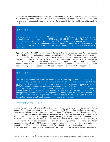uncertainty by limiting the amount of FDDEI to the amount of DEI. Therefore, losses in the domestic market can impact the computation of FDII even when the taxable income limitation is not implicated (for example, if losses attributable to non-foreign DEI exceed FDDEI, then no FDII benefit is available at all).

### KPMG observation

The policy basis for reducing the FDII benefit through a DEI limitation when a taxpayer has domestic losses (that is, negative non-FDDEI) and positive FDDEI is not clear. The statute seems aimed at providing a benefit based on positive FDDEI, and includes a separate taxable income limitation that could limit the FDII deduction based on domestic losses. Further, the requirement to separately allocate expenses to gross FDDEI seems inconsistent with the view that FDDEI is limited to DEI.

• **Application of section 861 for allocating deductions:** The statute requires gross DEI to be reduced by the deductions (including taxes) properly allocable to gross DEI, but the statute is silent as to the methodology for allocating the deductions. As widely expected, the proposed regulations generally treat section 250 as an operative section for purposes of section 861, and thus allocate expenses for both DEI and FDDEI purposes under the section 861 regulations—except that the "exclusive apportionment" rule for apportionment of research expenses under Reg. section 1.861-17(b), which applies for purposes of an apportionment based on "geographic sources," does not apply.

#### KPMG observation

The use of the section 861 rules was foreshadowed in Prop. Reg. section 1.861-8(d)(2)(ii)(C)(4), included in the proposed foreign tax credit regulations. That proposed rule would provide that "for purposes of determining deduction eligible income under the operative section of section 250(b)(3)," the proposed exempt income and exempt asset rules under section 864(e)(3) would not apply. The reference to section 250(b)(3) as an operative section under section 861 in the proposed foreign tax credit regulations—which are proposed to have an applicability date that is earlier than the applicability date of the section 250 proposed regulations—raises the question of whether the effect of this reference is to require the application of section 861 to any tax years to which the foreign tax regulations apply but the section 250 regulations do not apply.

#### <span id="page-4-0"></span>FDII computation issues—COGS

International.

In order to determine FDDEI and DEI, a taxpayer must determine its **gross income** from eligible sources. This raises the question of how cost of goods sold (COGS) are allocated. For this purpose, the proposed regulations generally allow a taxpayer to attribute COGS between gross DEI and gross FDDEI using any reasonable method. The proposed regulations explicitly provide, however, that COGS must be attributed to gross receipts with respect to gross DEI and gross FDDEI regardless of whether certain costs included in COGS can be associated with activities undertaken in an earlier tax year (including a year before the effective date of section 250). For example, if a taxpayer has environmental remediation expenses associated with a 2015 event, any associated expenses will be capitalized to inventory and recognized as COGS as a result of section 263A. Even though the event generating the environmental remediation liability occurred prior to the effective date of section 250, the expenses will be attributed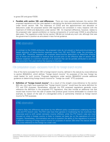to gross DEI and gross FDDEI.

**Parallels with section 199—and differences:** There are many parallels between the section 250 proposed regulations and the rules applied in calculating the domestic production activities deduction under former section 199. The treatment of COGS and the apportionment and allocation of deductions under the proposed section 250 regulations are consistent in many respects with the treatment of COGS and deductions under section 199. An important difference, however, relates to the proposed rules' special prohibition on tracing components of current-year COGS to pre-effective date years. The regulations under former section 199 did not include any such rule, although that was the government's position as articulated in less formal guidance.

#### KPMG observation

In contrast to the COGS attribution, the proposed rules do not prevent a facts-and-circumstancesbased allocation of below-the-line expenses away from DEI and FDDEI under the principles of section 861. Therefore, taxpayers can evaluate below-the-line deductions to determine whether any of those are attributable to revenue that accrued prior to the effective date of section 250. Pension expense is a common example of an expense that can be partially attributed to activities that occurred in the years before the expense is incurred.

#### <span id="page-5-0"></span>FDII computation issues—exclusions from DEI for foreign branch income

One of the items excluded from DEI is foreign branch income, defined in the statute by cross-reference to section 904(d)(2)(J), which defines "foreign branch income" for purposes of the new foreign tax credit basket for such income. Proposed regulations under section 904(d)(2)(J) provide additional guidance on determining foreign branch income for "foreign tax credit" (FTC) purposes.

**Definition of "foreign branch income":** As a result of the straight cross-reference to the section 904 rule, one might have expected that "foreign branch income" would have the same definition for FTC and FDII purposes. Nonetheless, although the FDII proposed regulations generally crossreference the definition in the proposed FTC regulations, they also include an additional rule that would treat income from the sale of assets that produce gross income attributable to a branch (for example, by reason of the sale of a disregarded entity or partnership interest) as foreign branch income for FDII purposes.

#### KPMG observation

It seems likely this difference was driven by the different policy considerations underlying the FDII rules and FTC branch rules. The FDII rules have their genesis in moderating the tax incentives that otherwise exist to shift certain domestic income offshore, while the FTC branch rules are more focused on when a foreign country is likely to impose net basis tax on the operations of a U.S. company. Nonetheless, commentators are sure to question the ability of the regulations to provide a different meaning of foreign branch income for purposes of section 250 when the statute defines it by cross reference to the foreign tax credit rules.

<sup>© 2019</sup> KPMG LLP, a Delaware limited liability partnership and the U.S. member firm of the KPMG network of independent member firms affiliated with KPMG International Cooperative ("KPMG International"), a Swiss entity. All rights reserved. Printed in the U.S.A. The KPMG name and logo are registered trademarks or trademarks of KPMG International.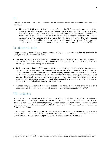#### <span id="page-6-0"></span>QBAI

The statute defines QBAI by cross-reference to the definition of the term in section 951A (the GILTI provisions).

• **FDII-specific QBAI rules:** Rather than cross-reference the GILTI proposed regulations on QBAI, however, the FDII proposed regulations include separate rules on QBAI, which are largely consistent with the QBAI rules in the GILTI proposed regulations. The anti-abuse provisions in the two sets of proposed QBAI rules are different, reflecting the positive effect of QBAI for GILTI purposes, and the negative effect of QBAI for FDII purposes. Under the FDII proposed regulations, the anti-avoidance rules are aimed at transactions that **reduce** QBAI (including certain sale-leaseback transactions engaged in with a principal purpose of decreasing QBAI).

#### <span id="page-6-1"></span>Consolidated return rules

The proposed regulations include guidance for determining the amount of the section 250 deduction for taxpayers that file consolidated returns.

- **Consolidated approach**: The proposed rules contain new consolidated return regulations providing for the computation of the section 250 deduction on an aggregate, group-wide basis, with rules allocating the deduction among group members.
- **Attribute redetermination**: The proposed rules add a new example to the intercompany transaction regulations that demonstrates how the intercompany transaction-attribute-redetermination rules can be used to alter both the characterization of intercompany amounts and expense allocation to allow for the same aggregate section 250 treatment as would obtain if the intercompany transactions were between divisions of a single entity. The preamble emphasizes that this new example is merely an application of existing intercompany transaction law, suggesting a far-reaching government view of the scope of the existing intercompany transaction rules.
- **Intercompany QBAI transactions**: The proposed rules include a special rule providing that basis adjustments attributable to intercompany transactions are disregarded in determining QBAI.

#### <span id="page-6-2"></span>FDDEI transactions

A critical element of the FDII deduction is the computation of FDDEI—a subset of DEI that relates to income from certain sales of property to foreign persons for foreign use and from the provision of services to persons, or with respect to property, located outside the United States. The proposed rules refer to these transactions individually as "FDDEI sales" and "FDDEI services" and collectively as "FDDEI transactions."

The proposed rules provide guidance to assist taxpayers in determining and documenting whether a sale or service transaction is a FDDEI transaction, including a number of general operating rules related to all FDDEI transactions as well as specific rules for FDDEI sales and FDDEI services.

<sup>© 2019</sup> KPMG LLP, a Delaware limited liability partnership and the U.S. member firm of the KPMG network of independent member firms affiliated with KPMG International Cooperative ("KPMG International"), a Swiss entity. All rights reserved. Printed in the U.S.A. The KPMG name and logo are registered trademarks or trademarks of KPMG International.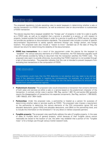## <span id="page-7-0"></span>Operating rules

The proposed regulations include operating rules to assist taxpayers in determining whether a sale or service transaction is a FDDEI transaction, as well as extensive rules on documentation to substantiate a FDDEI transaction.

The statute requires that a taxpayer establish the "foreign use" of property in order for a sale to qualify as a FDDEI sale, as well as to establish that a service is provided to a person, or with respect to property, located outside the United States in order for a service to qualify as a FDDEI service, but does not provide any guidance on documentation standards. The proposed rules include a number of specific documentation requirements to satisfy specific elements (foreign use, foreign person, and foreign location). The proposed rules also include a "reason to know" standard (as of the date of filing the relevant tax return) for determining the reliability of the documentation.

• **FDDEI loss transactions**: As a result of the requirement under the statute for the taxpayer to "establish" the various statutory elements of a FDDEI transaction, the FDII deduction arguably could be affirmatively avoided by failing to document that the transaction satisfies the FDDEI rules. The proposed rules seem to provide otherwise, by providing that FDDEI treatment is not avoided through a lack of documentation. The preamble indicates that this rule is intended to prevent taxpayers from excluding loss transactions in the computation of FDDEI.

#### KPMG observation

This prohibition could imply that the FDII deduction is not elective and may need to be claimed even if the deduction results in negative tax consequences, for example, as a result of the treatment of the related deduction under a foreign tax law that denies deductions for amounts that benefit from certain preferential regimes.

- **Predominant character**: The proposed rules would characterize a transaction that contains elements of both sales and services as either a sale or a service based on the predominant character of the transaction. In contrast, similar rules in section 199, Reg. section 1.861-18, and section 954 generally require the disaggregation of transactions into separate components. See Reg. sections 1.199-3(d)(3), 1.861-18(b)(2), and 1.954-1(e)(3).
- **Partnerships**: Under the proposed rules, a partnership is treated as a person for purposes of determining whether sales or services qualify as FDDEI. The proposed rules impose a requirement on the partnership to determine the various elements of the FDII computation (gross DEI and allocable deductions, gross FDDEI and allocable deductions, and QBAI) at the partnership level, and to include the information on the Schedule K-1 for any direct or indirect corporate partners.
- **Fungible property**: The proposed rules specifically address the sale of fungible property. In the case of sales of multiple items of general property, which because of their fungible nature cannot reasonably be traced to the location of use, the seller may establish that a portion of the "fungible mass" is for a foreign use through various market research tools.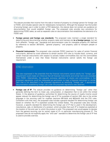#### <span id="page-8-0"></span>FDDEI sales

The statute provides that income from the sale or license of property to a foreign person for foreign use is FDDEI, and includes special rules for related-party transactions. Although the taxpayer has the burden of proving foreign use in order to claim a FDII deduction, the statute does not contain any guidance on documentation that would establish foreign use. The proposed rules provide new provisions for determining FDDEI sales, as well as separate rules on documentation that establishes the elements of a FDDEI sale.

- **Foreign person and foreign use standards:** The proposed rules maintain a single standard for determining and documenting whether property sales and licenses are **to a foreign person**, but set forth different "foreign use" standards and documentation rules for intangible property (IP) (defined by reference to section 367(d)(4)), "general property," and property used to transport people or property.
- **Financial instruments:** The proposed rules preclude FDDEI treatment for sales of certain financial instruments, defined by cross reference to certain section 475 rules to include stock, currency, and certain financial instruments with respect to actively traded commodities (but not the commodities themselves) under a view that these financial instruments cannot satisfy the foreign use requirement.

#### KPMG observation

The view expressed in the preamble that the financial instruments cannot satisfy the "foreign use" requirement could create an inference that all financial instruments and similar items are excluded from FDDEI. Alternatively, the arguably exclusive definition of stocks and commodities in the proposed regulations could be interpreted as permission to treat a financial instrument or similar item that is not described in the proposed regulations as satisfying "foreign use" if appropriate documentation establishing foreign use under the proposed regulations was obtained.

**Foreign use of IP**: The statute provides no guidance on determining "foreign use" other than generally defining the term to mean use, consumption, or disposition that is not within the United States. In the absence of guidance, authorities for determining the source of royalty income would appear relevant for determining the foreign use of IP for purposes of section 250, due to the similar language in the sourcing rules for royalties (sections 861(a)(4) and 862(a)(4)) and the FDII rules. Consistent with that view, the proposed rules include a general standard for determining foreign use based on whether the IP is exploited outside the United States. The proposed rules also include, however, a specific standard for determining the foreign use of IP that is used in the development, manufacture, sale, or distribution of a product, which provides that such IP is treated as exploited at the location of the end user to which the product is sold. This proposed rule would appear to deviate from the general sourcing rule for certain types of IP—in particular manufacturing process IP. The proposed rules do not explicitly apply the "end user" standard to determine the foreign use of IP that is used to provide a service.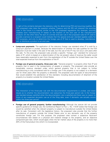#### KPMG observation

In light of the similarity between the statutory rules for determining FDII and sourcing royalties, the FDII proposed rules raise the question whether Treasury and the IRS will interpret the sourcing rules in the future in a manner similar to the FDII proposed regulations (for example, sourcing royalties from manufacturing IP based on the location of the end user of the manufactured product). On the other hand, the lack of a similar end-user rule in the proposed rules for IP used to provide a service to a recipient could indicate that the special end-user standard applies solely for FDII purposes, and only to determine the foreign use of IP that is used to develop, manufacture, sell, or distribute a product to an end user.

- **Lump-sum payments**. The application of the statutory foreign use standard when IP is sold for a lump-sum payment is unclear, because the determination of whether the sale qualifies for the FDII deduction must be made in the year of the sale, but the use of the IP may not occur until years after the sale. To this end, the proposed rules provide a specific "foreign use" standard for lump-sum sales of IP, which is based on a determination of the net present value of revenue the seller would have reasonably expected to earn from the exploitation of the IP outside the United States over the total expected revenue from the exploitation of the IP.
- **Foreign use of general property, three-year rule**: "General property" is property other than IP and property that is used in the transportation of people or property. The proposed rules provide an inexplicably onerous standard under which general property that is not subject to further manufacturing is only considered sold for a foreign use if the property is not subject to a domestic use for three years after the property is delivered. The proposed rules list types of documentation that would establish the satisfaction of this standard, including documentation of shipment of the property to a location outside the United States.

#### KPMG observation

The interaction of the three-year rule with the documentation requirements is unclear, and raises issues as to whether the documentation rule subsumes the three-year period rule. Is the foreign use standard always satisfied when the documentation rule is satisfied and there was no reason to know of any expected domestic use as of the filing date, even if domestic use actually occurs within the three-year period?

• **Foreign use of general property, further manufacturing:** Although the statute did not provide specific guidance on foreign use, the Conference Report to Pub. L. No. 115-97 states that foreign use would be satisfied when the relevant property is subject to manufacture outside the United States after its sale. Consistent with the legislative history, the proposed rules provide that the further manufacture of property outside the United States prior to any domestic use of the property constitutes foreign use. For this purpose, the proposed rules contain a subjective facts-andcircumstances test based on a physical and material change to the property, and an objective component-part test, which would apply when the fair market value of the property is no more than 20% of the final product into which it is incorporated.

<sup>© 2019</sup> KPMG LLP, a Delaware limited liability partnership and the U.S. member firm of the KPMG network of independent member firms affiliated with KPMG International Cooperative ("KPMG International"), a Swiss entity. All rights reserved. Printed in the U.S.A. The KPMG name and logo are registered trademarks or trademarks of KPMG International.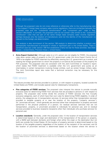## KPMG observation

Although the proposed rules do not cross reference or otherwise refer to the manufacturing rules in the subpart F foreign base company sales income regulations, there are similarities between the proposed rules and the "substantial transformation" and "component part" rules in Reg. section1.954-3(a)(4). In contrast, the proposed rules do not contain rules similar to the "substantial contribution" rules that are part of the same foreign base company sales income regulation, perhaps because only the location of manufacture—and not the identity of the manufacturer—is relevant to the foreign use determination.

The analysis is also reminiscent of the section 199 analysis to determine whether a product was domestically manufactured or produced in whole or significant part in the United States. There is beneficial case law under section 199 that establishes a fairly low bar for these activities. See Dean Foods v. United States, Precision Dose v. United States.

• **Arms Export Control Act**: Although sales to a U.S. person are not eligible for FDDEI, the proposed rules allow certain sales of property to the U.S. government under the Arms Export Control Act of 1976 to be eligible for FDDEI treatment by effectively viewing the U.S. government as a conduit, and treating the foreign government to whom the property is on-sold as the purchaser of the property for FDII purposes. The proposed rules are consistent with the Joint Committee on Taxation's report, which states that FDDEI treatment is available when the U.S. government acts purely as an intermediary in certain transactions involving foreign entities, such as certain foreign military sales. The Joint Committee report also notes that a technical correction may be necessary for this treatment.

#### <span id="page-10-0"></span>FDDEI services

The statute provides that services provided to a person, or with respect to property, located outside the United States are FDDEI, and includes special rules for related-party transactions.

- **Five categories of FDDEI services:** The proposed rules interpret the statute to provide mutually exclusive tests for determining FDDEI from services that are provided to persons or with respect to property. The proposed rules further divide the universe of FDDEI services into five mutually exclusive categories, each of which have their own rules for determining FDDEI eligibility. In order of priority, the categories are: (i) transportation services; (ii) services (other than transportation services) provided to tangible property at or near the location of the property ("property services"); (iii) "proximate services," which generally are services (other than transportation or property services) performed in the physical presence of a person; (iv) residual services (services that are not transportation, property, or proximate) provided to individuals for personal use; and (v) residual services provided to business recipients (recipients other than individuals who purchase services for personal use).
- **Location standards**: Generally, under the proposed rules: (1) the location of transportation services is determined based on the origin and destination of the transportation of the person or property, with a 50/50 split between domestic and foreign when either the origin or the destination (but not both) are outside the United States; (2) the location of property services is determined based on the location of the tangible property (regardless of the location of the recipient of the services); and (3) the location of proximate services is determined based on the location where the service is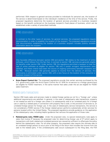performed. With respect to general services provided to individuals for personal use, the location of the service is determined based on the individual's residence at the time of the service. Finally, the proposed regulations determine the location of general services provided to a business recipient based on the benefit conferred on the business recipient's fixed places of business, which can be established under a variety of prescribed methods.

#### KPMG observation

In contrast to the other types of services, for general services, the proposed regulations require documentation in order to establish the location of the recipient. The proposed regulations provide that documentation establishing the location of a business recipient includes publicly available information about the recipient.

#### KPMG observation

One favorable difference between section 250 and section 199 relates to the treatment of online software, which follows from the fact that, in contrast to section 199, services are generally eligible for benefits under section 250. Under section 199, the regulations permitted a taxpayer to treat the sale of online software as eligible for section 199 only if certain stringent requirements were satisfied, and these criteria have been the source of ongoing controversy between taxpayers and the IRS. Because section 250 generally applies to income from the delivery of services, this controversy is eliminated under section 250, with a new focus on the location of the consumer or business recipient of the service.

• **Arms Export Control Act**: The proposed regulations provide that certain services purchased by the U.S. government under the Arms Export Control Act of 1976 for on-service to a foreign government are eligible for FDDEI treatment, in the same manner that sales under the act are eligible for FDDEI sales treatment.

#### <span id="page-11-0"></span>Related-party transactions

Section 250 treats sales and services made to related foreign parties as not for a "foreign use" unless additional requirements are satisfied. In general, in the case of related-party sale transactions, property is not treated as sold for a foreign use unless it is subsequently sold to an unrelated party for a foreign use or used by a related party in connection with property that is sold, or the provision of services to, an unrelated foreign person for foreign use. In the case of related-party service transactions, the service is not considered a FDDEI service if the foreign related person performs substantially similar services for persons located within the United States. The proposed regulations provide guidance on the application of the related-party rules, including helpful guidance that narrows the application of those rules.

• **Related-party rules, FDDEI sales**: Under the proposed rules, no special related-party rules apply to sales that involve IP because the proposed rules for determining foreign use of IP (which apply to transactions with both related and unrelated persons) are viewed as sufficient to effectuate the policy behind the related-party rules. For all other property, the proposed rules require the ultimate sale to an unrelated foreign person to occur prior to the filing of the return that includes the income from the sale to the related party. If the unrelated-party sale occurs subsequent to the filing date, the FDII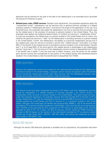deduction can be claimed for the year of the sale to the related party in an amended return (provided the statute of limitations is open).

• **Related-party rules, FDDEI services:** Perhaps more significantly, the proposed regulations apply the "substantially similar" related-party rule for services only to general services provided to a related business recipient ("related-party services"), and narrow the scope of the application of the rule. As a threshold issue, the proposed rules apply the related-party rule only to services that are actually used by the related party in the provision of services to persons located in the United States. Thus, the proposed rules replace the subjective determination of whether any service is "substantially similar" to a service provided by the related party to a person located in the United States with an inquiry into whether the particular service is "used" by the related party in providing services to a person located in the United States. Further, the related-party rule applies to a particular related-party service only if the related party uses the service to provide a service (the "related service") and either (i) at least 60% of the benefit of the related service is provided to persons located in the United States ("benefit test"); or (ii) at least 60% of the price paid for the related service is attributable to the related-party service ("price test"). The full amount of the related-party service income is disqualified from FDDEI if the benefit test is failed. If only the price test is failed, however, only the portion of the relatedparty service income that corresponds to the portion of the related service that benefitted persons located in the United States (under the benefit test) is disqualified from FDDEI.

#### KPMG observation

Because the related-party service rule is based on the relative benefit provided by the related party to persons located in the United States, a taxpayer cannot improve its position under the benefit test by having the related party bundle high value services with the related-party service, even though the bundling would improve its position under the price test.

#### KPMG observation

The statute could have been interpreted as having a cliff effect, such that related-party services would be disqualified if a related recipient of services provided a de minimis amount of substantially similar services to a person located in the United States. This result would not occur under the proposed regulations. For example, assume that USS provides \$75 of services to FP (a foreign related party). FP uses the related-party service to provide \$90 of services to X, a customer located outside the United States, and \$10 of services to Y, a customer located in the United States. Although USS would pass the benefit test because  $90\%$  (90/(90 + 10)) of the benefits are provided by FP to persons located outside the United States, USS would fail the price test because 75% (75/100) of the price paid by FP's customers for FP's service is attributable to the services provided by USS to FP. As a result, the \$75 of services income treated as FDDEI services is reduced to \$67.50 based on the portion of the total benefit provided by FP to persons located outside the United States (\$75  $\times$  90/100 = \$67.50), rather than being fully disallowed as would occur under a "cliff effect" rule.

#### <span id="page-12-0"></span>Section 962 election

Although the section 250 deduction generally is available only to corporations, the proposed rules allow

12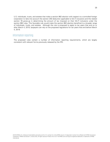U.S. individuals, trusts, and estates that make a section 962 election with respect to a controlled foreign corporation to take into account the section 250 deduction applicable to GILTI inclusions and the related section 78 gross-up in determining the amount of tax imposed on their GILTI inclusions under the section 962 rules. This favorable rule would make the section 962 election beneficial to a broader range of individuals, trusts, and estates. Although the rule is proposed to apply to tax years that end on or after March 4, 2019, taxpayers can rely on the proposed regulations for tax years that end before March 4, 2019.

#### <span id="page-13-0"></span>Information reporting

The proposed rules contain a number of information reporting requirements, which are largely consistent with relevant forms previously released by the IRS.